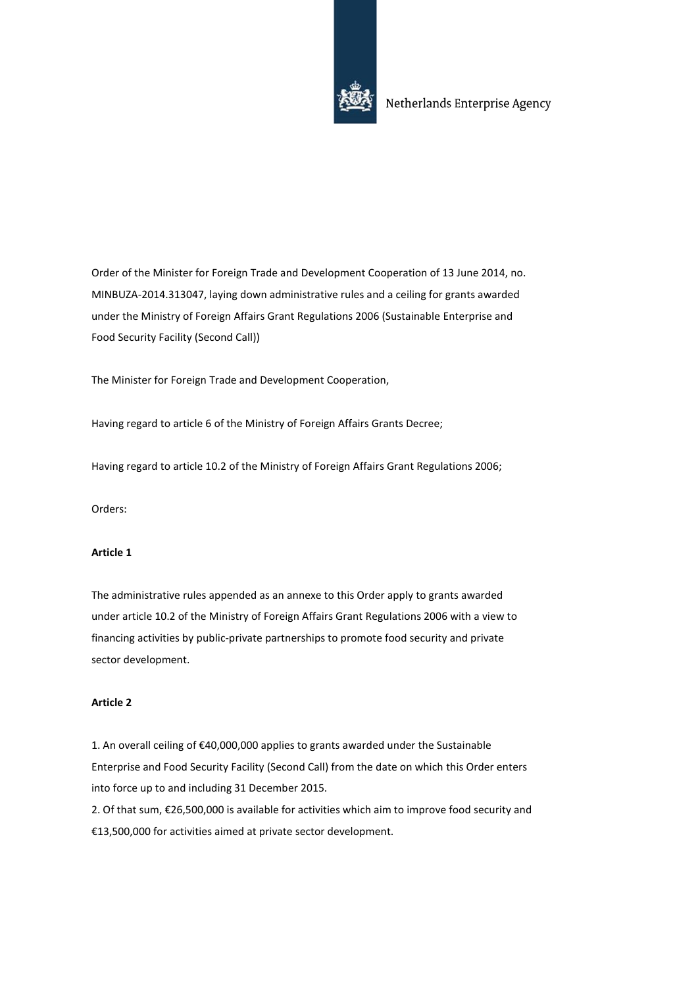

Order of the Minister for Foreign Trade and Development Cooperation of 13 June 2014, no. MINBUZA-2014.313047, laying down administrative rules and a ceiling for grants awarded under the Ministry of Foreign Affairs Grant Regulations 2006 (Sustainable Enterprise and Food Security Facility (Second Call))

The Minister for Foreign Trade and Development Cooperation,

Having regard to article 6 of the Ministry of Foreign Affairs Grants Decree;

Having regard to article 10.2 of the Ministry of Foreign Affairs Grant Regulations 2006;

Orders:

# **Article 1**

The administrative rules appended as an annexe to this Order apply to grants awarded under article 10.2 of the Ministry of Foreign Affairs Grant Regulations 2006 with a view to financing activities by public-private partnerships to promote food security and private sector development.

# **Article 2**

1. An overall ceiling of €40,000,000 applies to grants awarded under the Sustainable Enterprise and Food Security Facility (Second Call) from the date on which this Order enters into force up to and including 31 December 2015.

2. Of that sum, €26,500,000 is available for activities which aim to improve food security and €13,500,000 for activities aimed at private sector development.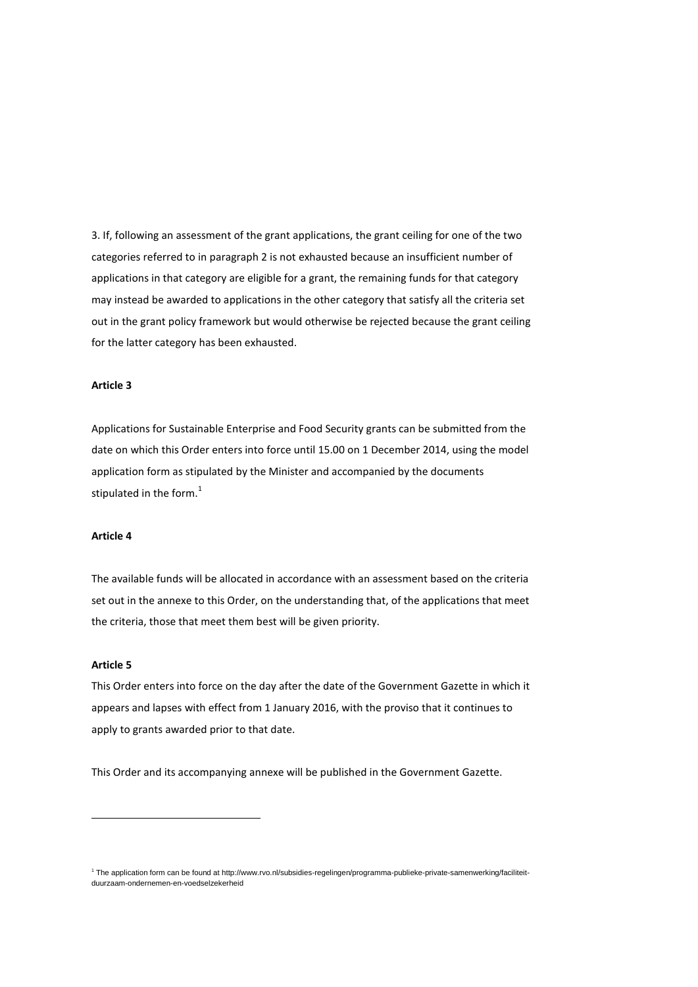3. If, following an assessment of the grant applications, the grant ceiling for one of the two categories referred to in paragraph 2 is not exhausted because an insufficient number of applications in that category are eligible for a grant, the remaining funds for that category may instead be awarded to applications in the other category that satisfy all the criteria set out in the grant policy framework but would otherwise be rejected because the grant ceiling for the latter category has been exhausted.

# **Article 3**

Applications for Sustainable Enterprise and Food Security grants can be submitted from the date on which this Order enters into force until 15.00 on 1 December 2014, using the model application form as stipulated by the Minister and accompanied by the documents stipulated in the form. $<sup>1</sup>$ </sup>

#### **Article 4**

The available funds will be allocated in accordance with an assessment based on the criteria set out in the annexe to this Order, on the understanding that, of the applications that meet the criteria, those that meet them best will be given priority.

#### **Article 5**

1

This Order enters into force on the day after the date of the Government Gazette in which it appears and lapses with effect from 1 January 2016, with the proviso that it continues to apply to grants awarded prior to that date.

This Order and its accompanying annexe will be published in the Government Gazette.

<sup>1</sup> The application form can be found at http://www.rvo.nl/subsidies-regelingen/programma-publieke-private-samenwerking/faciliteitduurzaam-ondernemen-en-voedselzekerheid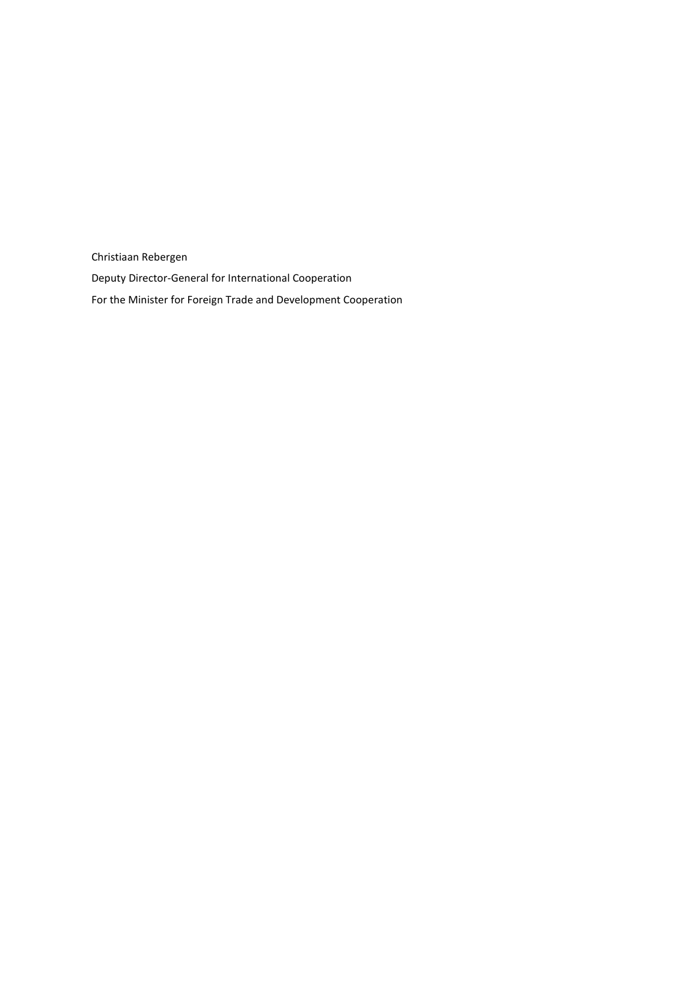Christiaan Rebergen Deputy Director-General for International Cooperation For the Minister for Foreign Trade and Development Cooperation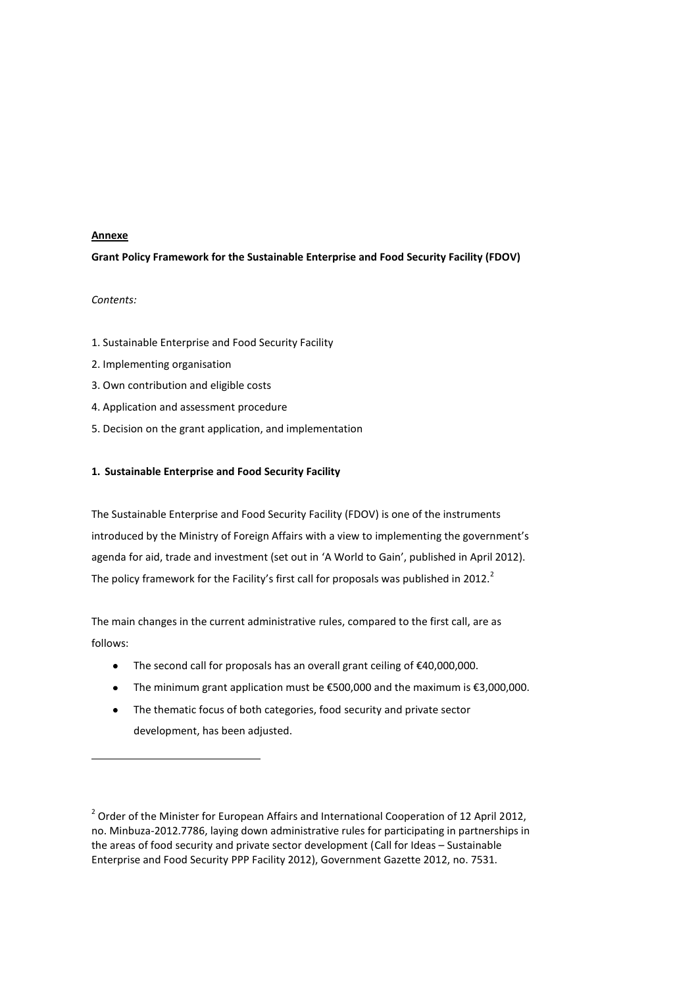# **Annexe**

# **Grant Policy Framework for the Sustainable Enterprise and Food Security Facility (FDOV)**

# *Contents:*

**.** 

- 1. Sustainable Enterprise and Food Security Facility
- 2. Implementing organisation
- 3. Own contribution and eligible costs
- 4. Application and assessment procedure
- 5. Decision on the grant application, and implementation

# **1. Sustainable Enterprise and Food Security Facility**

The Sustainable Enterprise and Food Security Facility (FDOV) is one of the instruments introduced by the Ministry of Foreign Affairs with a view to implementing the government's agenda for aid, trade and investment (set out in 'A World to Gain', published in April 2012). The policy framework for the Facility's first call for proposals was published in 2012.<sup>2</sup>

The main changes in the current administrative rules, compared to the first call, are as follows:

- The second call for proposals has an overall grant ceiling of €40,000,000.
- The minimum grant application must be €500,000 and the maximum is €3,000,000.
- $\bullet$ The thematic focus of both categories, food security and private sector development, has been adjusted.

 $2$  Order of the Minister for European Affairs and International Cooperation of 12 April 2012, no. Minbuza-2012.7786, laying down administrative rules for participating in partnerships in the areas of food security and private sector development (Call for Ideas – Sustainable Enterprise and Food Security PPP Facility 2012), Government Gazette 2012, no. 7531.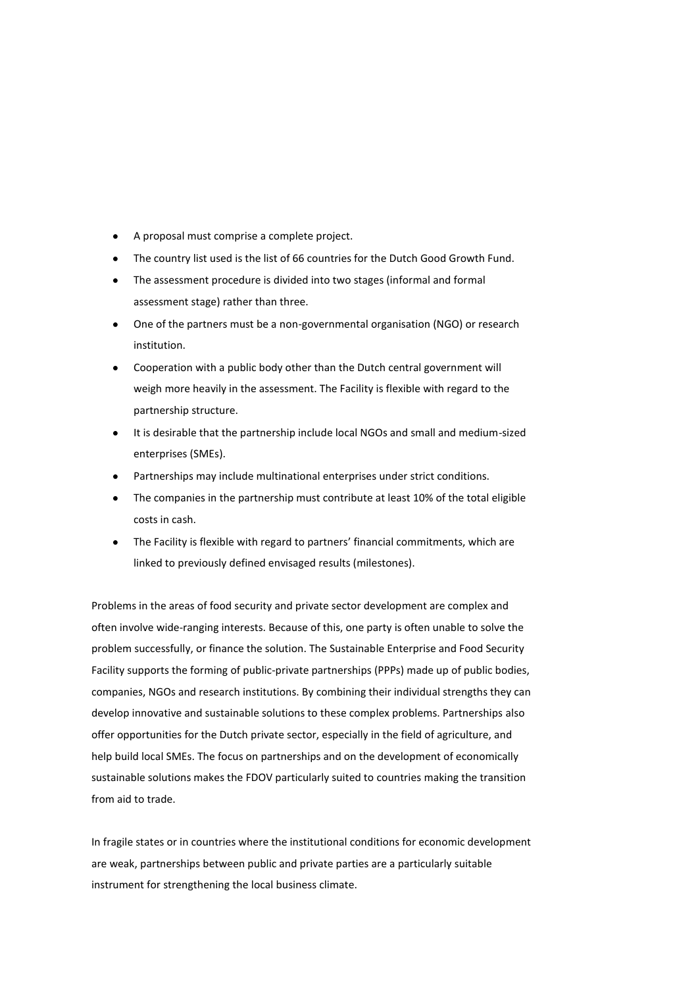- A proposal must comprise a complete project.
- The country list used is the list of 66 countries for the Dutch Good Growth Fund.
- The assessment procedure is divided into two stages (informal and formal assessment stage) rather than three.
- One of the partners must be a non-governmental organisation (NGO) or research institution.
- Cooperation with a public body other than the Dutch central government will weigh more heavily in the assessment. The Facility is flexible with regard to the partnership structure.
- It is desirable that the partnership include local NGOs and small and medium-sized enterprises (SMEs).
- Partnerships may include multinational enterprises under strict conditions.
- The companies in the partnership must contribute at least 10% of the total eligible costs in cash.
- The Facility is flexible with regard to partners' financial commitments, which are linked to previously defined envisaged results (milestones).

Problems in the areas of food security and private sector development are complex and often involve wide-ranging interests. Because of this, one party is often unable to solve the problem successfully, or finance the solution. The Sustainable Enterprise and Food Security Facility supports the forming of public-private partnerships (PPPs) made up of public bodies, companies, NGOs and research institutions. By combining their individual strengths they can develop innovative and sustainable solutions to these complex problems. Partnerships also offer opportunities for the Dutch private sector, especially in the field of agriculture, and help build local SMEs. The focus on partnerships and on the development of economically sustainable solutions makes the FDOV particularly suited to countries making the transition from aid to trade.

In fragile states or in countries where the institutional conditions for economic development are weak, partnerships between public and private parties are a particularly suitable instrument for strengthening the local business climate.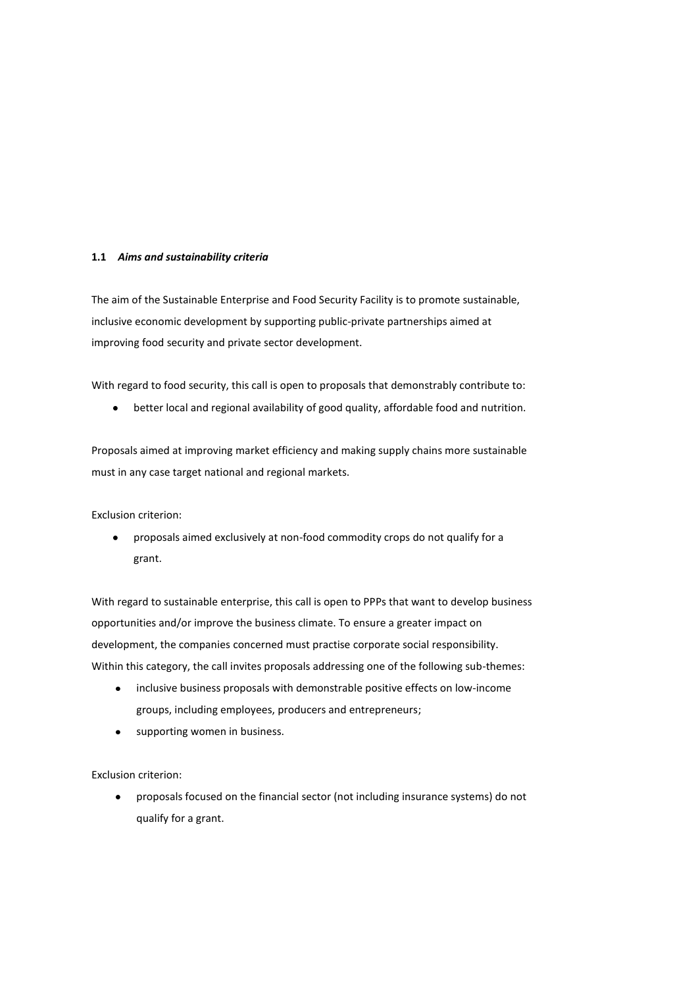# **1.1** *Aims and sustainability criteria*

The aim of the Sustainable Enterprise and Food Security Facility is to promote sustainable, inclusive economic development by supporting public-private partnerships aimed at improving food security and private sector development.

With regard to food security, this call is open to proposals that demonstrably contribute to:

 $\bullet$ better local and regional availability of good quality, affordable food and nutrition.

Proposals aimed at improving market efficiency and making supply chains more sustainable must in any case target national and regional markets.

Exclusion criterion:

proposals aimed exclusively at non-food commodity crops do not qualify for a  $\bullet$ grant.

With regard to sustainable enterprise, this call is open to PPPs that want to develop business opportunities and/or improve the business climate. To ensure a greater impact on development, the companies concerned must practise corporate social responsibility. Within this category, the call invites proposals addressing one of the following sub-themes:

- $\bullet$ inclusive business proposals with demonstrable positive effects on low-income groups, including employees, producers and entrepreneurs;
- supporting women in business.  $\bullet$

Exclusion criterion:

 $\bullet$ proposals focused on the financial sector (not including insurance systems) do not qualify for a grant.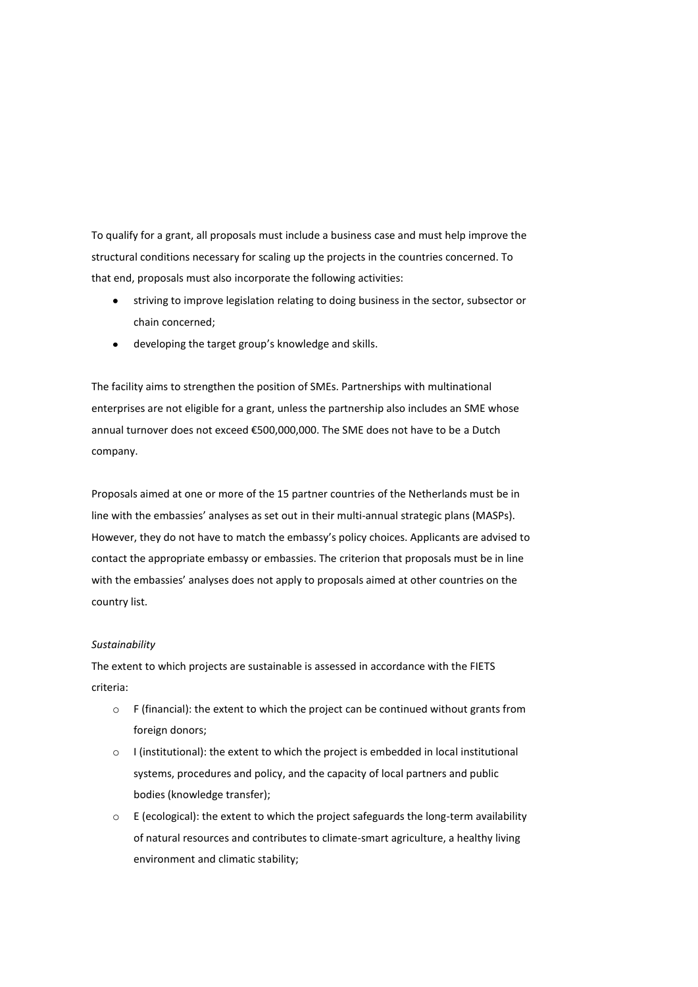To qualify for a grant, all proposals must include a business case and must help improve the structural conditions necessary for scaling up the projects in the countries concerned. To that end, proposals must also incorporate the following activities:

- striving to improve legislation relating to doing business in the sector, subsector or chain concerned;
- developing the target group's knowledge and skills.

The facility aims to strengthen the position of SMEs. Partnerships with multinational enterprises are not eligible for a grant, unless the partnership also includes an SME whose annual turnover does not exceed €500,000,000. The SME does not have to be a Dutch company.

Proposals aimed at one or more of the 15 partner countries of the Netherlands must be in line with the embassies' analyses as set out in their multi-annual strategic plans (MASPs). However, they do not have to match the embassy's policy choices. Applicants are advised to contact the appropriate embassy or embassies. The criterion that proposals must be in line with the embassies' analyses does not apply to proposals aimed at other countries on the country list.

#### *Sustainability*

The extent to which projects are sustainable is assessed in accordance with the FIETS criteria:

- o F (financial): the extent to which the project can be continued without grants from foreign donors;
- o I (institutional): the extent to which the project is embedded in local institutional systems, procedures and policy, and the capacity of local partners and public bodies (knowledge transfer);
- $\circ$  E (ecological): the extent to which the project safeguards the long-term availability of natural resources and contributes to climate-smart agriculture, a healthy living environment and climatic stability;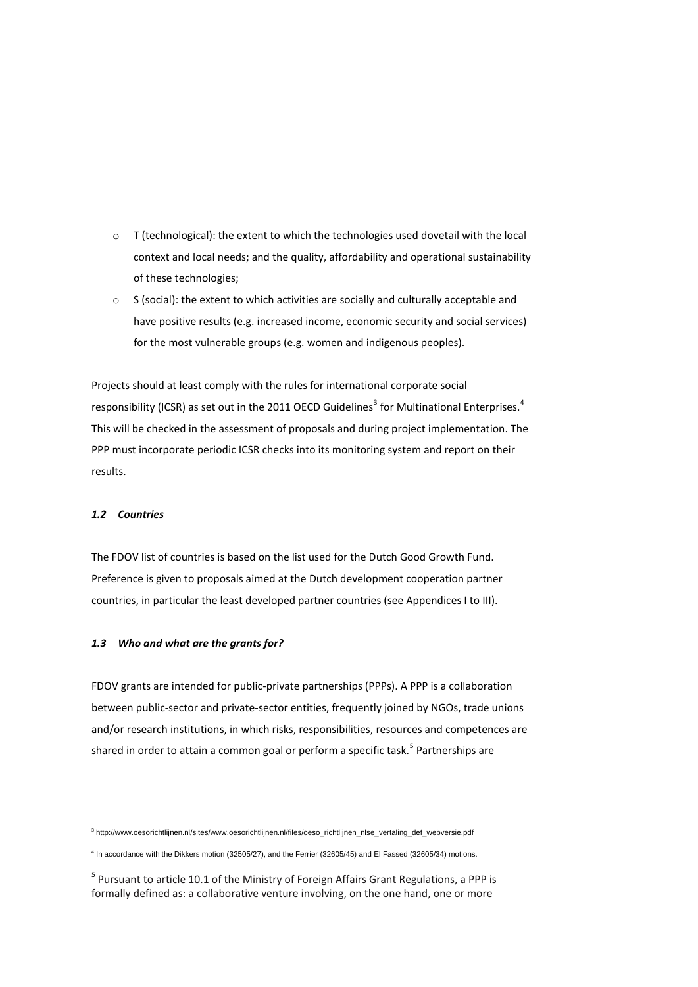- o T (technological): the extent to which the technologies used dovetail with the local context and local needs; and the quality, affordability and operational sustainability of these technologies;
- $\circ$  S (social): the extent to which activities are socially and culturally acceptable and have positive results (e.g. increased income, economic security and social services) for the most vulnerable groups (e.g. women and indigenous peoples).

Projects should at least comply with the rules for international corporate social responsibility (ICSR) as set out in the 2011 OECD Guidelines<sup>3</sup> for Multinational Enterprises.<sup>4</sup> This will be checked in the assessment of proposals and during project implementation. The PPP must incorporate periodic ICSR checks into its monitoring system and report on their results.

#### *1.2 Countries*

 $\overline{\phantom{a}}$ 

The FDOV list of countries is based on the list used for the Dutch Good Growth Fund. Preference is given to proposals aimed at the Dutch development cooperation partner countries, in particular the least developed partner countries (see Appendices I to III).

#### *1.3 Who and what are the grants for?*

FDOV grants are intended for public-private partnerships (PPPs). A PPP is a collaboration between public-sector and private-sector entities, frequently joined by NGOs, trade unions and/or research institutions, in which risks, responsibilities, resources and competences are shared in order to attain a common goal or perform a specific task.<sup>5</sup> Partnerships are

<sup>3</sup> http://www.oesorichtlijnen.nl/sites/www.oesorichtlijnen.nl/files/oeso\_richtlijnen\_nlse\_vertaling\_def\_webversie.pdf

<sup>4</sup> In accordance with the Dikkers motion (32505/27), and the Ferrier (32605/45) and El Fassed (32605/34) motions.

<sup>&</sup>lt;sup>5</sup> Pursuant to article 10.1 of the Ministry of Foreign Affairs Grant Regulations, a PPP is formally defined as: a collaborative venture involving, on the one hand, one or more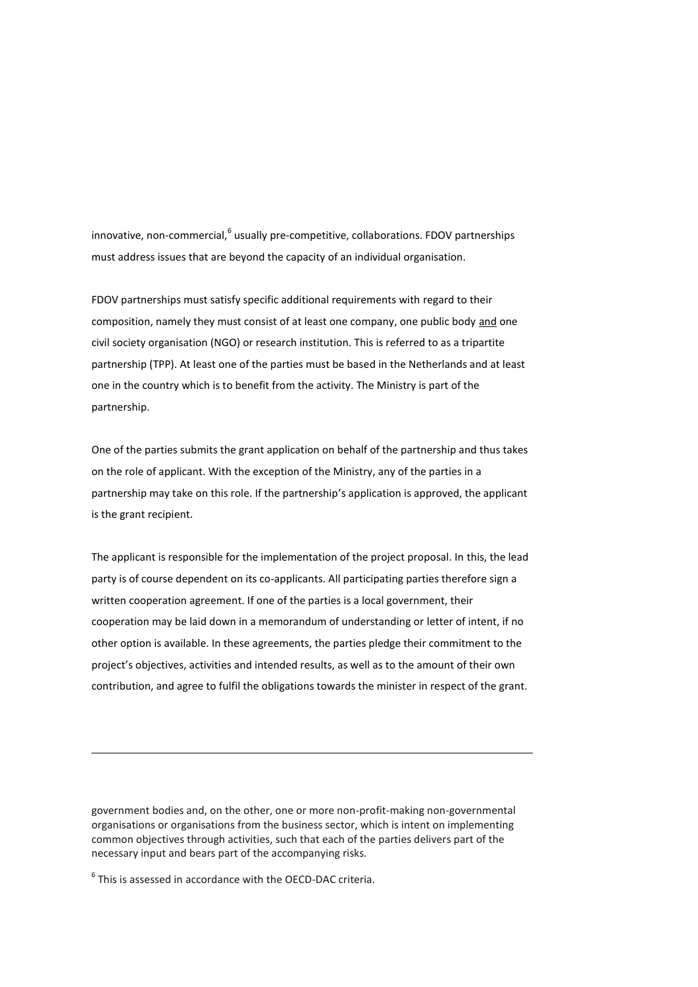innovative, non-commercial, <sup>6</sup> usually pre-competitive, collaborations. FDOV partnerships must address issues that are beyond the capacity of an individual organisation.

FDOV partnerships must satisfy specific additional requirements with regard to their composition, namely they must consist of at least one company, one public body and one civil society organisation (NGO) or research institution. This is referred to as a tripartite partnership (TPP). At least one of the parties must be based in the Netherlands and at least one in the country which is to benefit from the activity. The Ministry is part of the partnership.

One of the parties submits the grant application on behalf of the partnership and thus takes on the role of applicant. With the exception of the Ministry, any of the parties in a partnership may take on this role. If the partnership's application is approved, the applicant is the grant recipient.

The applicant is responsible for the implementation of the project proposal. In this, the lead party is of course dependent on its co-applicants. All participating parties therefore sign a written cooperation agreement. If one of the parties is a local government, their cooperation may be laid down in a memorandum of understanding or letter of intent, if no other option is available. In these agreements, the parties pledge their commitment to the project's objectives, activities and intended results, as well as to the amount of their own contribution, and agree to fulfil the obligations towards the minister in respect of the grant.

government bodies and, on the other, one or more non-profit-making non-governmental organisations or organisations from the business sector, which is intent on implementing common objectives through activities, such that each of the parties delivers part of the necessary input and bears part of the accompanying risks.

<sup>6</sup> This is assessed in accordance with the OECD-DAC criteria.

1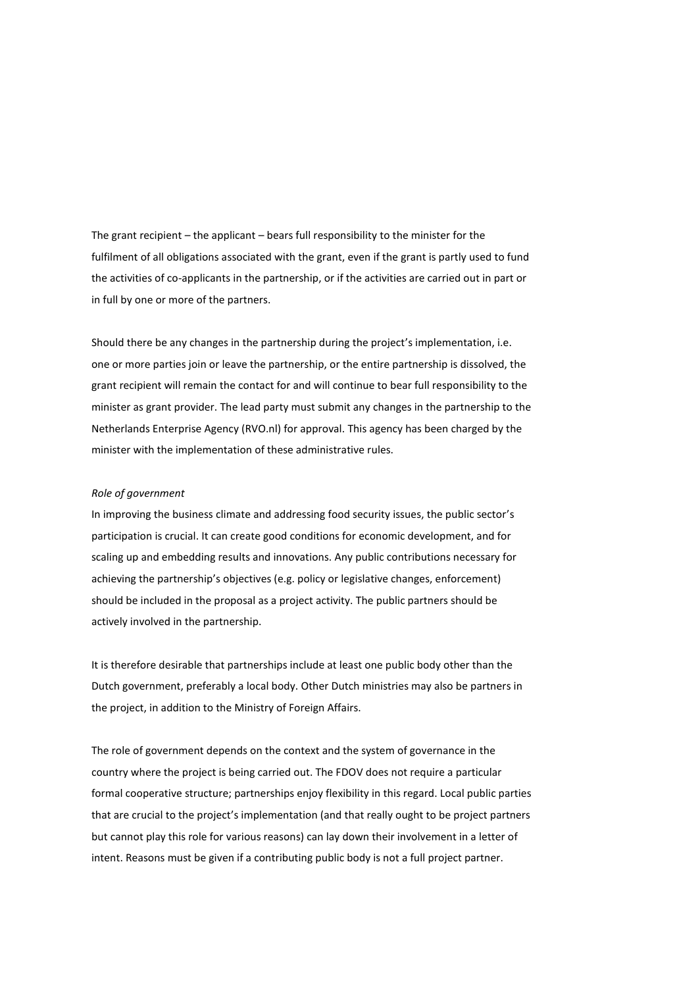The grant recipient – the applicant – bears full responsibility to the minister for the fulfilment of all obligations associated with the grant, even if the grant is partly used to fund the activities of co-applicants in the partnership, or if the activities are carried out in part or in full by one or more of the partners.

Should there be any changes in the partnership during the project's implementation, i.e. one or more parties join or leave the partnership, or the entire partnership is dissolved, the grant recipient will remain the contact for and will continue to bear full responsibility to the minister as grant provider. The lead party must submit any changes in the partnership to the Netherlands Enterprise Agency (RVO.nl) for approval. This agency has been charged by the minister with the implementation of these administrative rules.

#### *Role of government*

In improving the business climate and addressing food security issues, the public sector's participation is crucial. It can create good conditions for economic development, and for scaling up and embedding results and innovations. Any public contributions necessary for achieving the partnership's objectives (e.g. policy or legislative changes, enforcement) should be included in the proposal as a project activity. The public partners should be actively involved in the partnership.

It is therefore desirable that partnerships include at least one public body other than the Dutch government, preferably a local body. Other Dutch ministries may also be partners in the project, in addition to the Ministry of Foreign Affairs.

The role of government depends on the context and the system of governance in the country where the project is being carried out. The FDOV does not require a particular formal cooperative structure; partnerships enjoy flexibility in this regard. Local public parties that are crucial to the project's implementation (and that really ought to be project partners but cannot play this role for various reasons) can lay down their involvement in a letter of intent. Reasons must be given if a contributing public body is not a full project partner.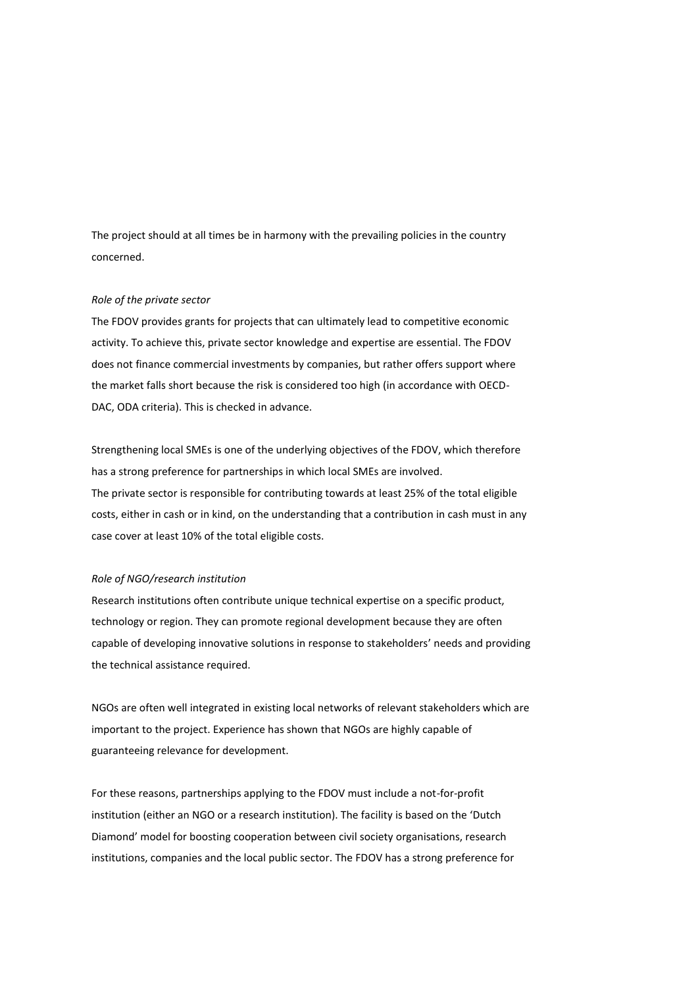The project should at all times be in harmony with the prevailing policies in the country concerned.

#### *Role of the private sector*

The FDOV provides grants for projects that can ultimately lead to competitive economic activity. To achieve this, private sector knowledge and expertise are essential. The FDOV does not finance commercial investments by companies, but rather offers support where the market falls short because the risk is considered too high (in accordance with OECD-DAC, ODA criteria). This is checked in advance.

Strengthening local SMEs is one of the underlying objectives of the FDOV, which therefore has a strong preference for partnerships in which local SMEs are involved. The private sector is responsible for contributing towards at least 25% of the total eligible costs, either in cash or in kind, on the understanding that a contribution in cash must in any case cover at least 10% of the total eligible costs.

#### *Role of NGO/research institution*

Research institutions often contribute unique technical expertise on a specific product, technology or region. They can promote regional development because they are often capable of developing innovative solutions in response to stakeholders' needs and providing the technical assistance required.

NGOs are often well integrated in existing local networks of relevant stakeholders which are important to the project. Experience has shown that NGOs are highly capable of guaranteeing relevance for development.

For these reasons, partnerships applying to the FDOV must include a not-for-profit institution (either an NGO or a research institution). The facility is based on the 'Dutch Diamond' model for boosting cooperation between civil society organisations, research institutions, companies and the local public sector. The FDOV has a strong preference for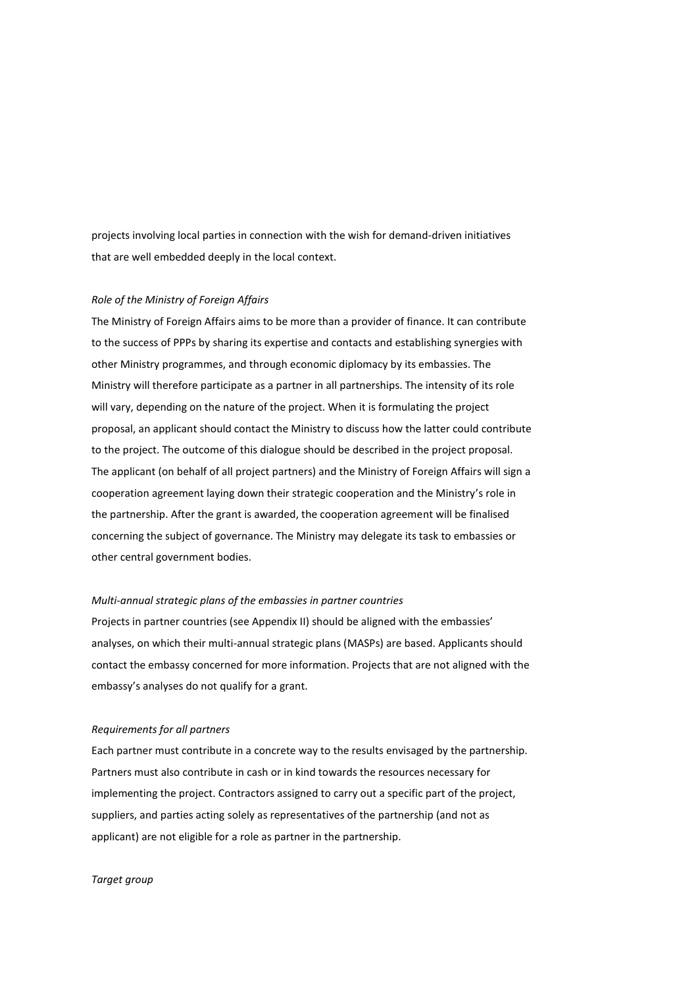projects involving local parties in connection with the wish for demand-driven initiatives that are well embedded deeply in the local context.

#### *Role of the Ministry of Foreign Affairs*

The Ministry of Foreign Affairs aims to be more than a provider of finance. It can contribute to the success of PPPs by sharing its expertise and contacts and establishing synergies with other Ministry programmes, and through economic diplomacy by its embassies. The Ministry will therefore participate as a partner in all partnerships. The intensity of its role will vary, depending on the nature of the project. When it is formulating the project proposal, an applicant should contact the Ministry to discuss how the latter could contribute to the project. The outcome of this dialogue should be described in the project proposal. The applicant (on behalf of all project partners) and the Ministry of Foreign Affairs will sign a cooperation agreement laying down their strategic cooperation and the Ministry's role in the partnership. After the grant is awarded, the cooperation agreement will be finalised concerning the subject of governance. The Ministry may delegate its task to embassies or other central government bodies.

#### *Multi-annual strategic plans of the embassies in partner countries*

Projects in partner countries (see Appendix II) should be aligned with the embassies' analyses, on which their multi-annual strategic plans (MASPs) are based. Applicants should contact the embassy concerned for more information. Projects that are not aligned with the embassy's analyses do not qualify for a grant.

#### *Requirements for all partners*

Each partner must contribute in a concrete way to the results envisaged by the partnership. Partners must also contribute in cash or in kind towards the resources necessary for implementing the project. Contractors assigned to carry out a specific part of the project, suppliers, and parties acting solely as representatives of the partnership (and not as applicant) are not eligible for a role as partner in the partnership.

#### *Target group*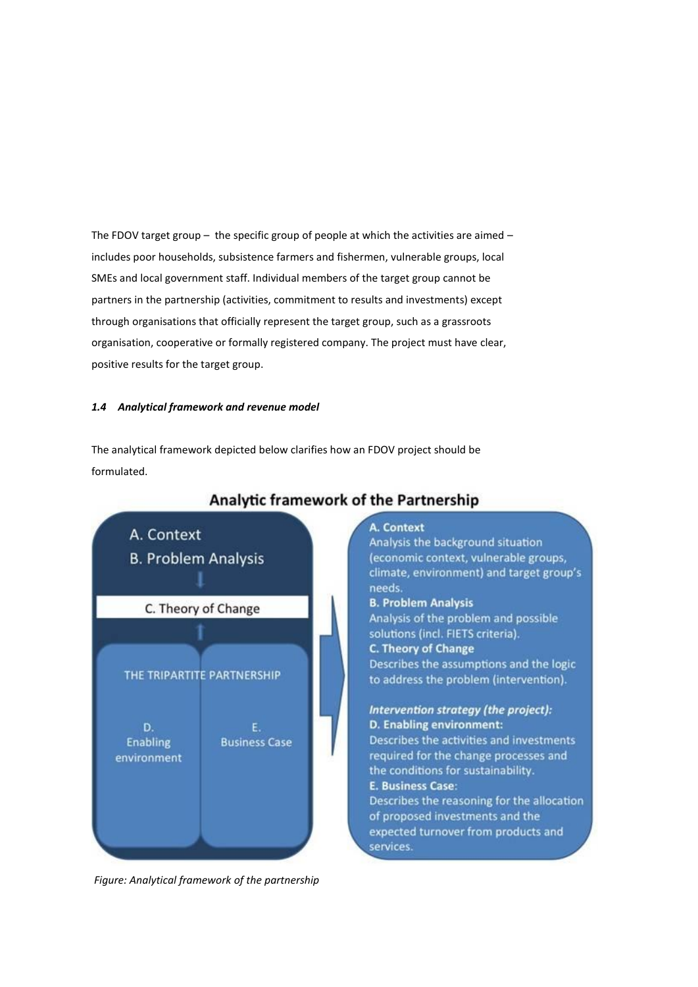The FDOV target group  $-$  the specific group of people at which the activities are aimed  $$ includes poor households, subsistence farmers and fishermen, vulnerable groups, local SMEs and local government staff. Individual members of the target group cannot be partners in the partnership (activities, commitment to results and investments) except through organisations that officially represent the target group, such as a grassroots organisation, cooperative or formally registered company. The project must have clear, positive results for the target group.

# *1.4 Analytical framework and revenue model*

The analytical framework depicted below clarifies how an FDOV project should be formulated.



# Analytic framework of the Partnership

# A. Context

Analysis the background situation (economic context, vulnerable groups, climate, environment) and target group's needs.

# **B. Problem Analysis**

Analysis of the problem and possible solutions (incl. FIETS criteria). **C. Theory of Change** Describes the assumptions and the logic

to address the problem (intervention).

# Intervention strategy (the project): D. Enabling environment:

Describes the activities and investments required for the change processes and the conditions for sustainability. E. Business Case:

Describes the reasoning for the allocation of proposed investments and the expected turnover from products and services.

*Figure: Analytical framework of the partnership*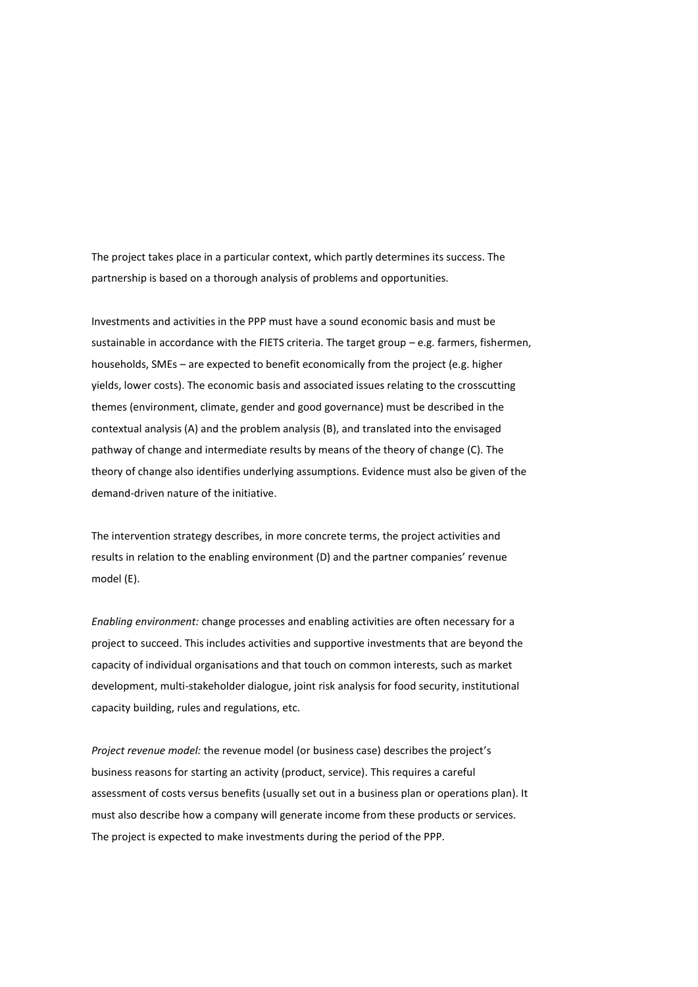The project takes place in a particular context, which partly determines its success. The partnership is based on a thorough analysis of problems and opportunities.

Investments and activities in the PPP must have a sound economic basis and must be sustainable in accordance with the FIETS criteria. The target group – e.g. farmers, fishermen, households, SMEs – are expected to benefit economically from the project (e.g. higher yields, lower costs). The economic basis and associated issues relating to the crosscutting themes (environment, climate, gender and good governance) must be described in the contextual analysis (A) and the problem analysis (B), and translated into the envisaged pathway of change and intermediate results by means of the theory of change (C). The theory of change also identifies underlying assumptions. Evidence must also be given of the demand-driven nature of the initiative.

The intervention strategy describes, in more concrete terms, the project activities and results in relation to the enabling environment (D) and the partner companies' revenue model (E).

*Enabling environment:* change processes and enabling activities are often necessary for a project to succeed. This includes activities and supportive investments that are beyond the capacity of individual organisations and that touch on common interests, such as market development, multi-stakeholder dialogue, joint risk analysis for food security, institutional capacity building, rules and regulations, etc.

*Project revenue model:* the revenue model (or business case) describes the project's business reasons for starting an activity (product, service). This requires a careful assessment of costs versus benefits (usually set out in a business plan or operations plan). It must also describe how a company will generate income from these products or services. The project is expected to make investments during the period of the PPP.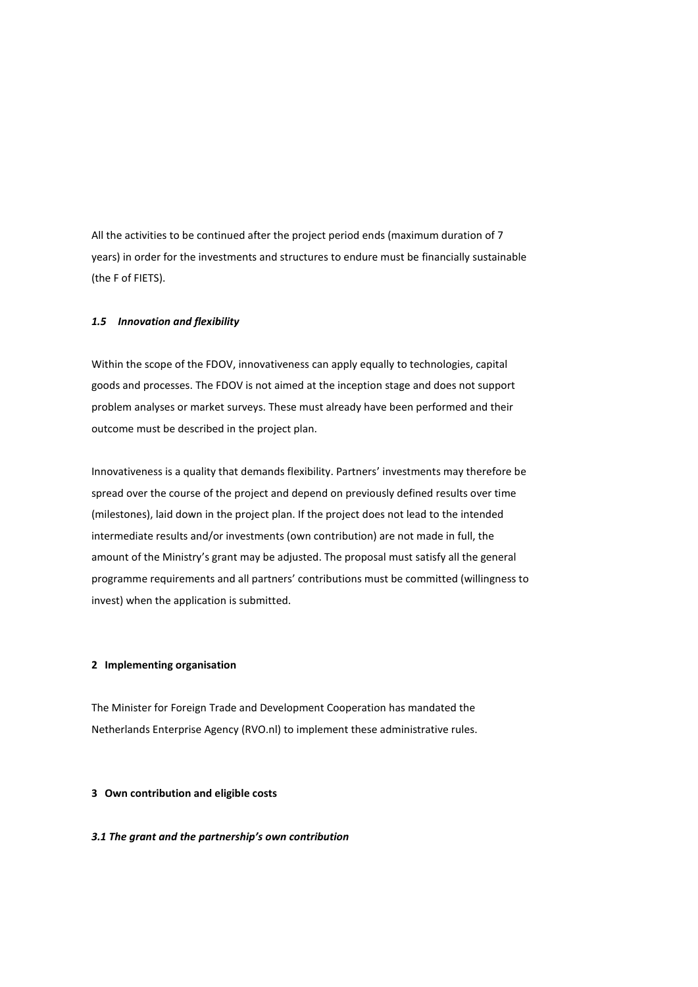All the activities to be continued after the project period ends (maximum duration of 7 years) in order for the investments and structures to endure must be financially sustainable (the F of FIETS).

#### *1.5 Innovation and flexibility*

Within the scope of the FDOV, innovativeness can apply equally to technologies, capital goods and processes. The FDOV is not aimed at the inception stage and does not support problem analyses or market surveys. These must already have been performed and their outcome must be described in the project plan.

Innovativeness is a quality that demands flexibility. Partners' investments may therefore be spread over the course of the project and depend on previously defined results over time (milestones), laid down in the project plan. If the project does not lead to the intended intermediate results and/or investments (own contribution) are not made in full, the amount of the Ministry's grant may be adjusted. The proposal must satisfy all the general programme requirements and all partners' contributions must be committed (willingness to invest) when the application is submitted.

# **2 Implementing organisation**

The Minister for Foreign Trade and Development Cooperation has mandated the Netherlands Enterprise Agency (RVO.nl) to implement these administrative rules.

# **3 Own contribution and eligible costs**

#### *3.1 The grant and the partnership's own contribution*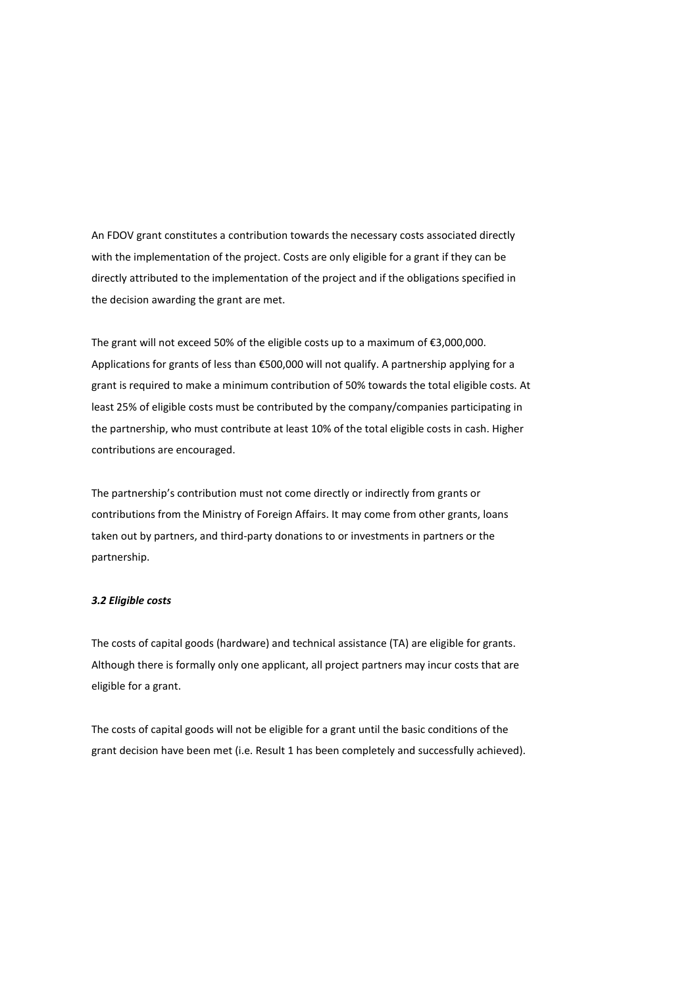An FDOV grant constitutes a contribution towards the necessary costs associated directly with the implementation of the project. Costs are only eligible for a grant if they can be directly attributed to the implementation of the project and if the obligations specified in the decision awarding the grant are met.

The grant will not exceed 50% of the eligible costs up to a maximum of €3,000,000. Applications for grants of less than €500,000 will not qualify. A partnership applying for a grant is required to make a minimum contribution of 50% towards the total eligible costs. At least 25% of eligible costs must be contributed by the company/companies participating in the partnership, who must contribute at least 10% of the total eligible costs in cash. Higher contributions are encouraged.

The partnership's contribution must not come directly or indirectly from grants or contributions from the Ministry of Foreign Affairs. It may come from other grants, loans taken out by partners, and third-party donations to or investments in partners or the partnership.

#### *3.2 Eligible costs*

The costs of capital goods (hardware) and technical assistance (TA) are eligible for grants. Although there is formally only one applicant, all project partners may incur costs that are eligible for a grant.

The costs of capital goods will not be eligible for a grant until the basic conditions of the grant decision have been met (i.e. Result 1 has been completely and successfully achieved).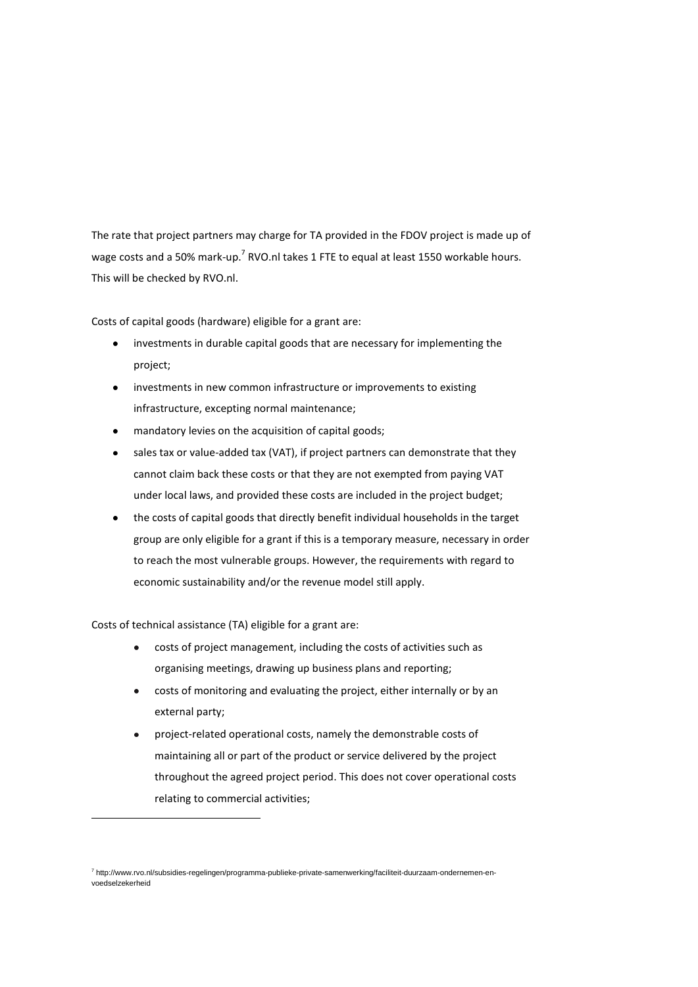The rate that project partners may charge for TA provided in the FDOV project is made up of wage costs and a 50% mark-up.<sup>7</sup> RVO.nl takes 1 FTE to equal at least 1550 workable hours. This will be checked by RVO.nl.

Costs of capital goods (hardware) eligible for a grant are:

- investments in durable capital goods that are necessary for implementing the project;
- investments in new common infrastructure or improvements to existing infrastructure, excepting normal maintenance;
- mandatory levies on the acquisition of capital goods;
- sales tax or value-added tax (VAT), if project partners can demonstrate that they cannot claim back these costs or that they are not exempted from paying VAT under local laws, and provided these costs are included in the project budget;
- the costs of capital goods that directly benefit individual households in the target group are only eligible for a grant if this is a temporary measure, necessary in order to reach the most vulnerable groups. However, the requirements with regard to economic sustainability and/or the revenue model still apply.

Costs of technical assistance (TA) eligible for a grant are:

1

- costs of project management, including the costs of activities such as  $\bullet$ organising meetings, drawing up business plans and reporting;
- costs of monitoring and evaluating the project, either internally or by an external party;
- project-related operational costs, namely the demonstrable costs of maintaining all or part of the product or service delivered by the project throughout the agreed project period. This does not cover operational costs relating to commercial activities;

<sup>7</sup> http://www.rvo.nl/subsidies-regelingen/programma-publieke-private-samenwerking/faciliteit-duurzaam-ondernemen-envoedselzekerheid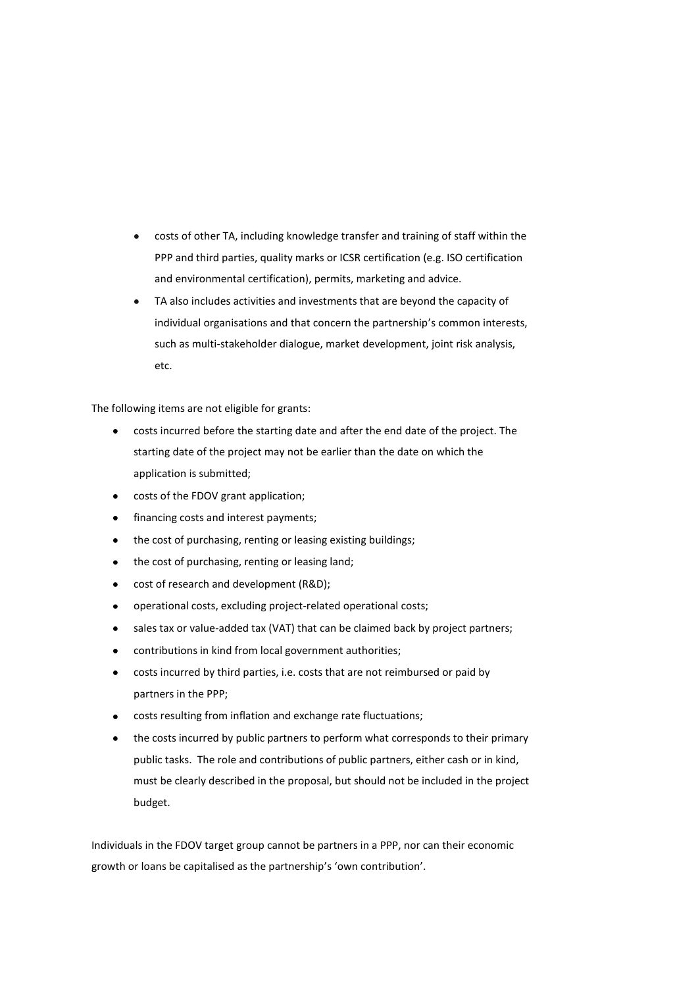- costs of other TA, including knowledge transfer and training of staff within the PPP and third parties, quality marks or ICSR certification (e.g. ISO certification and environmental certification), permits, marketing and advice.
- TA also includes activities and investments that are beyond the capacity of individual organisations and that concern the partnership's common interests, such as multi-stakeholder dialogue, market development, joint risk analysis, etc.

The following items are not eligible for grants:

- costs incurred before the starting date and after the end date of the project. The starting date of the project may not be earlier than the date on which the application is submitted;
- costs of the FDOV grant application;
- financing costs and interest payments;  $\bullet$
- the cost of purchasing, renting or leasing existing buildings;
- the cost of purchasing, renting or leasing land;
- cost of research and development (R&D);
- operational costs, excluding project-related operational costs;
- sales tax or value-added tax (VAT) that can be claimed back by project partners;
- contributions in kind from local government authorities;
- costs incurred by third parties, i.e. costs that are not reimbursed or paid by partners in the PPP;
- costs resulting from inflation and exchange rate fluctuations;
- the costs incurred by public partners to perform what corresponds to their primary public tasks. The role and contributions of public partners, either cash or in kind, must be clearly described in the proposal, but should not be included in the project budget.

Individuals in the FDOV target group cannot be partners in a PPP, nor can their economic growth or loans be capitalised as the partnership's 'own contribution'.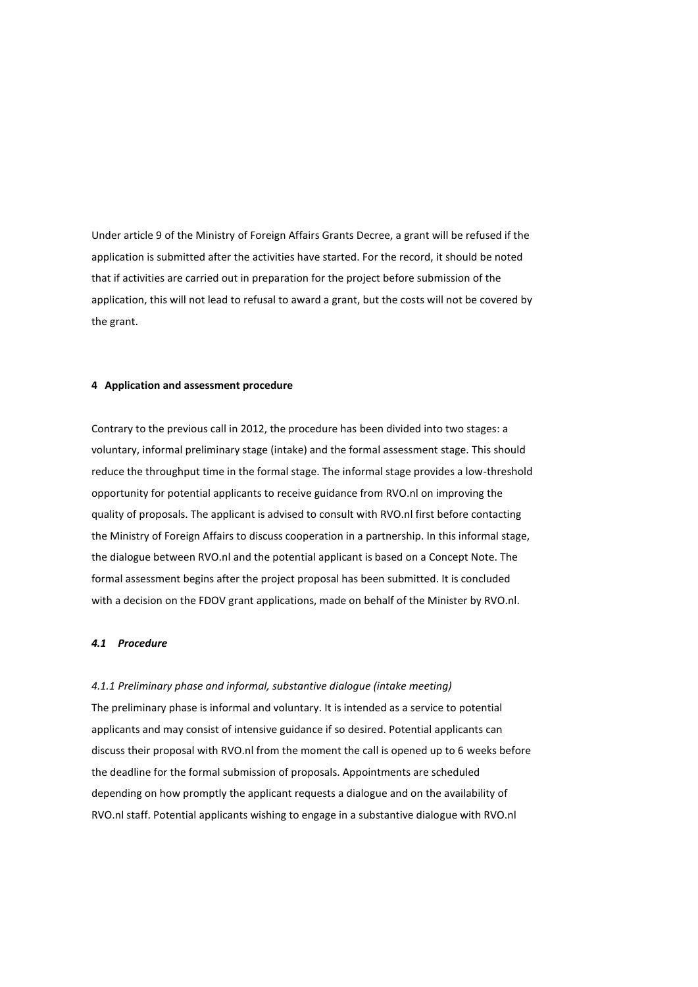Under article 9 of the Ministry of Foreign Affairs Grants Decree, a grant will be refused if the application is submitted after the activities have started. For the record, it should be noted that if activities are carried out in preparation for the project before submission of the application, this will not lead to refusal to award a grant, but the costs will not be covered by the grant.

#### **4 Application and assessment procedure**

Contrary to the previous call in 2012, the procedure has been divided into two stages: a voluntary, informal preliminary stage (intake) and the formal assessment stage. This should reduce the throughput time in the formal stage. The informal stage provides a low-threshold opportunity for potential applicants to receive guidance from RVO.nl on improving the quality of proposals. The applicant is advised to consult with RVO.nl first before contacting the Ministry of Foreign Affairs to discuss cooperation in a partnership. In this informal stage, the dialogue between RVO.nl and the potential applicant is based on a Concept Note. The formal assessment begins after the project proposal has been submitted. It is concluded with a decision on the FDOV grant applications, made on behalf of the Minister by RVO.nl.

# *4.1 Procedure*

*4.1.1 Preliminary phase and informal, substantive dialogue (intake meeting)*

The preliminary phase is informal and voluntary. It is intended as a service to potential applicants and may consist of intensive guidance if so desired. Potential applicants can discuss their proposal with RVO.nl from the moment the call is opened up to 6 weeks before the deadline for the formal submission of proposals. Appointments are scheduled depending on how promptly the applicant requests a dialogue and on the availability of RVO.nl staff. Potential applicants wishing to engage in a substantive dialogue with RVO.nl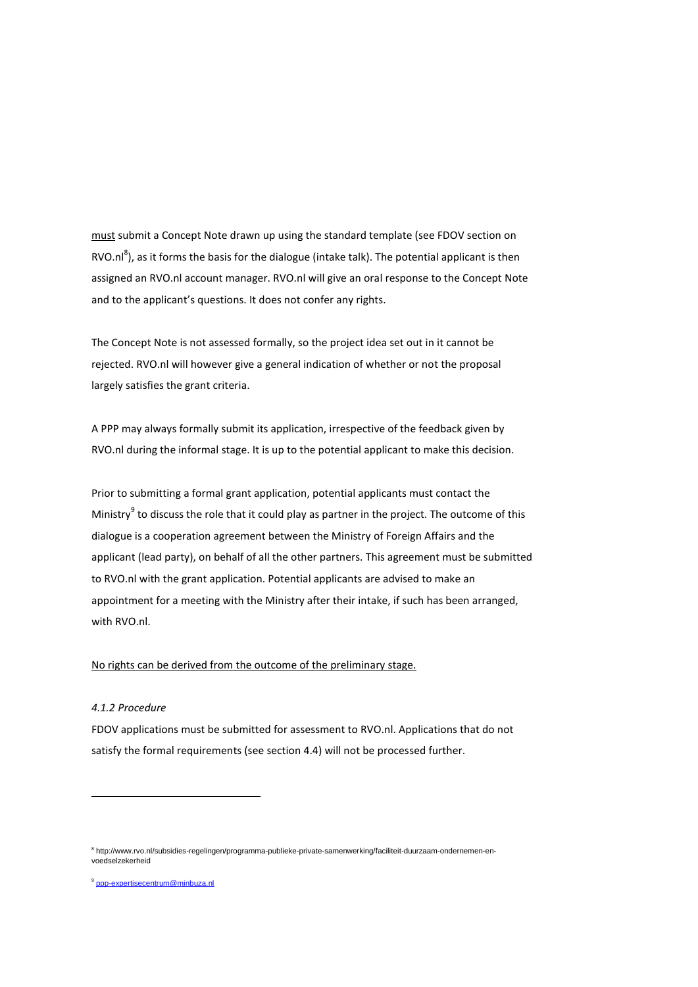must submit a Concept Note drawn up using the standard template (see FDOV section on RVO.nl<sup>8</sup>), as it forms the basis for the dialogue (intake talk). The potential applicant is then assigned an RVO.nl account manager. RVO.nl will give an oral response to the Concept Note and to the applicant's questions. It does not confer any rights.

The Concept Note is not assessed formally, so the project idea set out in it cannot be rejected. RVO.nl will however give a general indication of whether or not the proposal largely satisfies the grant criteria.

A PPP may always formally submit its application, irrespective of the feedback given by RVO.nl during the informal stage. It is up to the potential applicant to make this decision.

Prior to submitting a formal grant application, potential applicants must contact the Ministry<sup>9</sup> to discuss the role that it could play as partner in the project. The outcome of this dialogue is a cooperation agreement between the Ministry of Foreign Affairs and the applicant (lead party), on behalf of all the other partners. This agreement must be submitted to RVO.nl with the grant application. Potential applicants are advised to make an appointment for a meeting with the Ministry after their intake, if such has been arranged, with RVO.nl.

#### No rights can be derived from the outcome of the preliminary stage.

# *4.1.2 Procedure*

**.** 

FDOV applications must be submitted for assessment to RVO.nl. Applications that do not satisfy the formal requirements (see section 4.4) will not be processed further.

<sup>9</sup> [ppp-expertisecentrum@minbuza.nl](mailto:ppp-expertisecentrum@minbuza.nl)

<sup>8</sup> http://www.rvo.nl/subsidies-regelingen/programma-publieke-private-samenwerking/faciliteit-duurzaam-ondernemen-envoedselzekerheid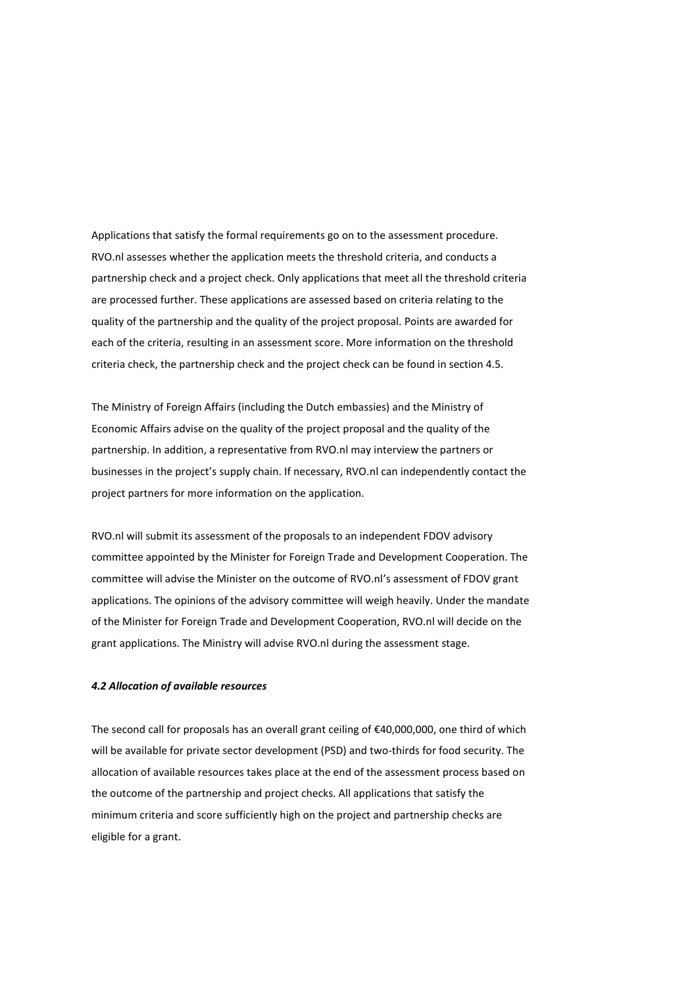Applications that satisfy the formal requirements go on to the assessment procedure. RVO.nl assesses whether the application meets the threshold criteria, and conducts a partnership check and a project check. Only applications that meet all the threshold criteria are processed further. These applications are assessed based on criteria relating to the quality of the partnership and the quality of the project proposal. Points are awarded for each of the criteria, resulting in an assessment score. More information on the threshold criteria check, the partnership check and the project check can be found in section 4.5.

The Ministry of Foreign Affairs (including the Dutch embassies) and the Ministry of Economic Affairs advise on the quality of the project proposal and the quality of the partnership. In addition, a representative from RVO.nl may interview the partners or businesses in the project's supply chain. If necessary, RVO.nl can independently contact the project partners for more information on the application.

RVO.nl will submit its assessment of the proposals to an independent FDOV advisory committee appointed by the Minister for Foreign Trade and Development Cooperation. The committee will advise the Minister on the outcome of RVO.nl's assessment of FDOV grant applications. The opinions of the advisory committee will weigh heavily. Under the mandate of the Minister for Foreign Trade and Development Cooperation, RVO.nl will decide on the grant applications. The Ministry will advise RVO.nl during the assessment stage.

#### *4.2 Allocation of available resources*

The second call for proposals has an overall grant ceiling of €40,000,000, one third of which will be available for private sector development (PSD) and two-thirds for food security. The allocation of available resources takes place at the end of the assessment process based on the outcome of the partnership and project checks. All applications that satisfy the minimum criteria and score sufficiently high on the project and partnership checks are eligible for a grant.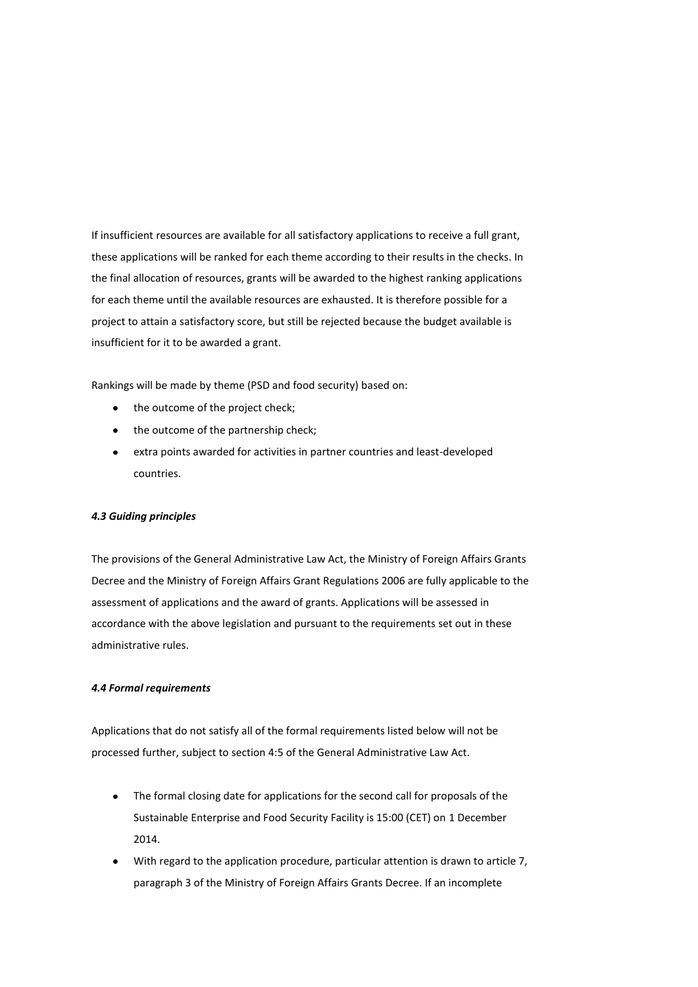If insufficient resources are available for all satisfactory applications to receive a full grant, these applications will be ranked for each theme according to their results in the checks. In the final allocation of resources, grants will be awarded to the highest ranking applications for each theme until the available resources are exhausted. It is therefore possible for a project to attain a satisfactory score, but still be rejected because the budget available is insufficient for it to be awarded a grant.

Rankings will be made by theme (PSD and food security) based on:

- the outcome of the project check;
- the outcome of the partnership check;
- extra points awarded for activities in partner countries and least-developed countries.

#### *4.3 Guiding principles*

The provisions of the General Administrative Law Act, the Ministry of Foreign Affairs Grants Decree and the Ministry of Foreign Affairs Grant Regulations 2006 are fully applicable to the assessment of applications and the award of grants. Applications will be assessed in accordance with the above legislation and pursuant to the requirements set out in these administrative rules.

# *4.4 Formal requirements*

Applications that do not satisfy all of the formal requirements listed below will not be processed further, subject to section 4:5 of the General Administrative Law Act.

- The formal closing date for applications for the second call for proposals of the Sustainable Enterprise and Food Security Facility is 15:00 (CET) on 1 December 2014.
- With regard to the application procedure, particular attention is drawn to article 7, paragraph 3 of the Ministry of Foreign Affairs Grants Decree. If an incomplete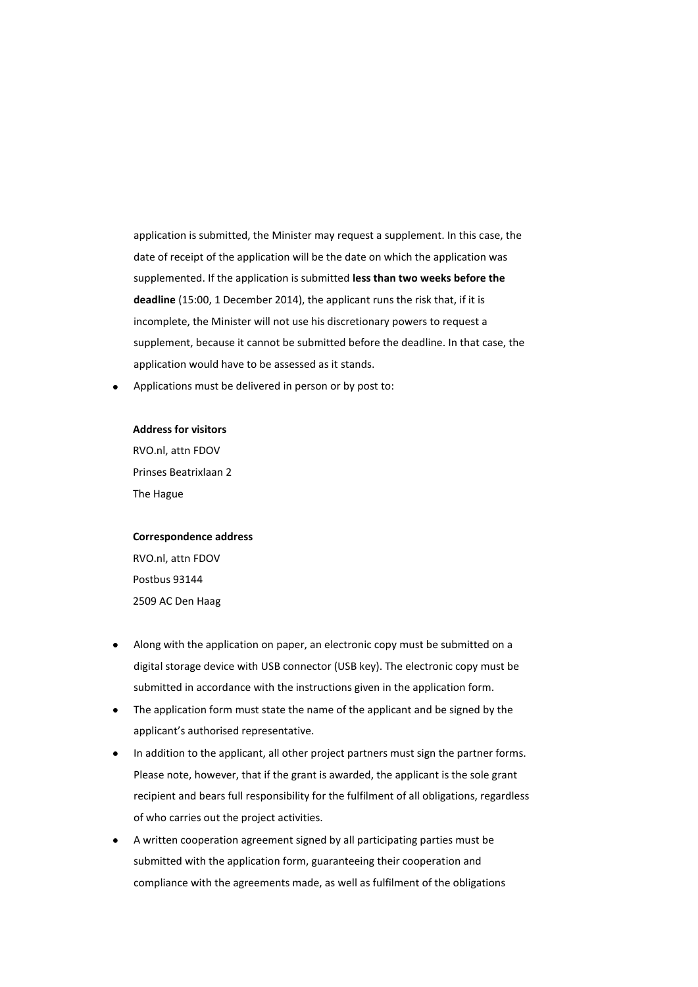application is submitted, the Minister may request a supplement. In this case, the date of receipt of the application will be the date on which the application was supplemented. If the application is submitted **less than two weeks before the deadline** (15:00, 1 December 2014), the applicant runs the risk that, if it is incomplete, the Minister will not use his discretionary powers to request a supplement, because it cannot be submitted before the deadline. In that case, the application would have to be assessed as it stands.

Applications must be delivered in person or by post to:

# **Address for visitors**

RVO.nl, attn FDOV Prinses Beatrixlaan 2 The Hague

# **Correspondence address** RVO.nl, attn FDOV

Postbus 93144 2509 AC Den Haag

- Along with the application on paper, an electronic copy must be submitted on a digital storage device with USB connector (USB key). The electronic copy must be submitted in accordance with the instructions given in the application form.
- The application form must state the name of the applicant and be signed by the applicant's authorised representative.
- In addition to the applicant, all other project partners must sign the partner forms. Please note, however, that if the grant is awarded, the applicant is the sole grant recipient and bears full responsibility for the fulfilment of all obligations, regardless of who carries out the project activities.
- A written cooperation agreement signed by all participating parties must be submitted with the application form, guaranteeing their cooperation and compliance with the agreements made, as well as fulfilment of the obligations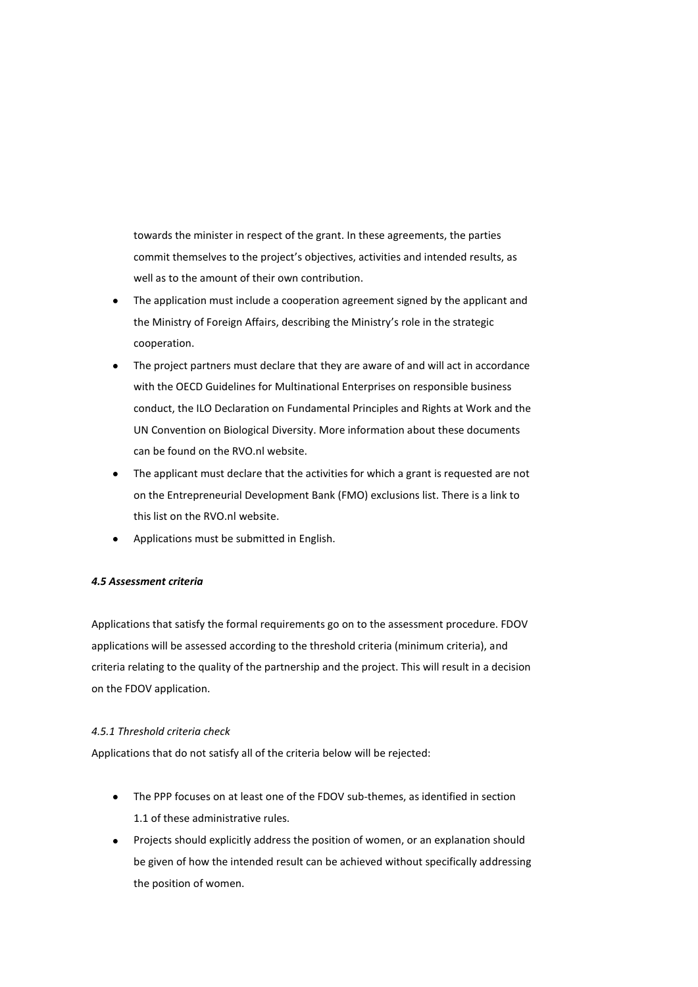towards the minister in respect of the grant. In these agreements, the parties commit themselves to the project's objectives, activities and intended results, as well as to the amount of their own contribution.

- The application must include a cooperation agreement signed by the applicant and the Ministry of Foreign Affairs, describing the Ministry's role in the strategic cooperation.
- The project partners must declare that they are aware of and will act in accordance with the OECD Guidelines for Multinational Enterprises on responsible business conduct, the ILO Declaration on Fundamental Principles and Rights at Work and the UN Convention on Biological Diversity. More information about these documents can be found on the RVO.nl website.
- The applicant must declare that the activities for which a grant is requested are not on the Entrepreneurial Development Bank (FMO) exclusions list. There is a link to this list on the RVO.nl website.
- Applications must be submitted in English.

# *4.5 Assessment criteria*

Applications that satisfy the formal requirements go on to the assessment procedure. FDOV applications will be assessed according to the threshold criteria (minimum criteria), and criteria relating to the quality of the partnership and the project. This will result in a decision on the FDOV application.

# *4.5.1 Threshold criteria check*

Applications that do not satisfy all of the criteria below will be rejected:

- The PPP focuses on at least one of the FDOV sub-themes, as identified in section 1.1 of these administrative rules.
- Projects should explicitly address the position of women, or an explanation should be given of how the intended result can be achieved without specifically addressing the position of women.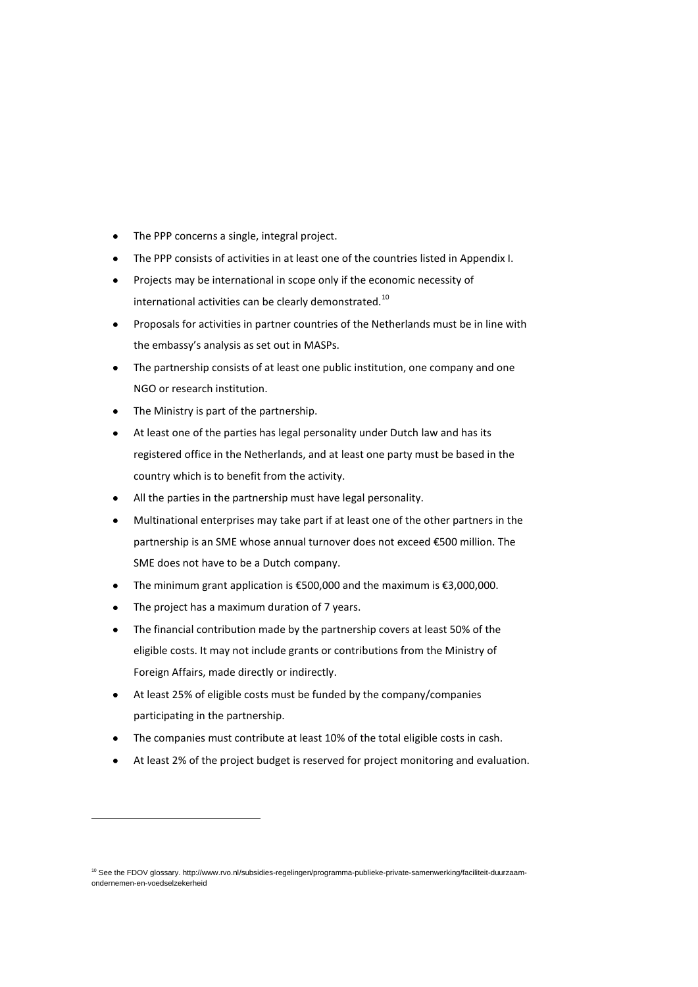- The PPP concerns a single, integral project.
- The PPP consists of activities in at least one of the countries listed in Appendix I.
- Projects may be international in scope only if the economic necessity of international activities can be clearly demonstrated.<sup>10</sup>
- Proposals for activities in partner countries of the Netherlands must be in line with the embassy's analysis as set out in MASPs.
- The partnership consists of at least one public institution, one company and one NGO or research institution.
- The Ministry is part of the partnership.
- At least one of the parties has legal personality under Dutch law and has its registered office in the Netherlands, and at least one party must be based in the country which is to benefit from the activity.
- All the parties in the partnership must have legal personality.
- Multinational enterprises may take part if at least one of the other partners in the  $\bullet$ partnership is an SME whose annual turnover does not exceed €500 million. The SME does not have to be a Dutch company.
- The minimum grant application is €500,000 and the maximum is €3,000,000.
- The project has a maximum duration of 7 years.

1

- The financial contribution made by the partnership covers at least 50% of the eligible costs. It may not include grants or contributions from the Ministry of Foreign Affairs, made directly or indirectly.
- At least 25% of eligible costs must be funded by the company/companies participating in the partnership.
- The companies must contribute at least 10% of the total eligible costs in cash.
- At least 2% of the project budget is reserved for project monitoring and evaluation.

<sup>&</sup>lt;sup>10</sup> See the FDOV glossary. http://www.rvo.nl/subsidies-regelingen/programma-publieke-private-samenwerking/faciliteit-duurzaamondernemen-en-voedselzekerheid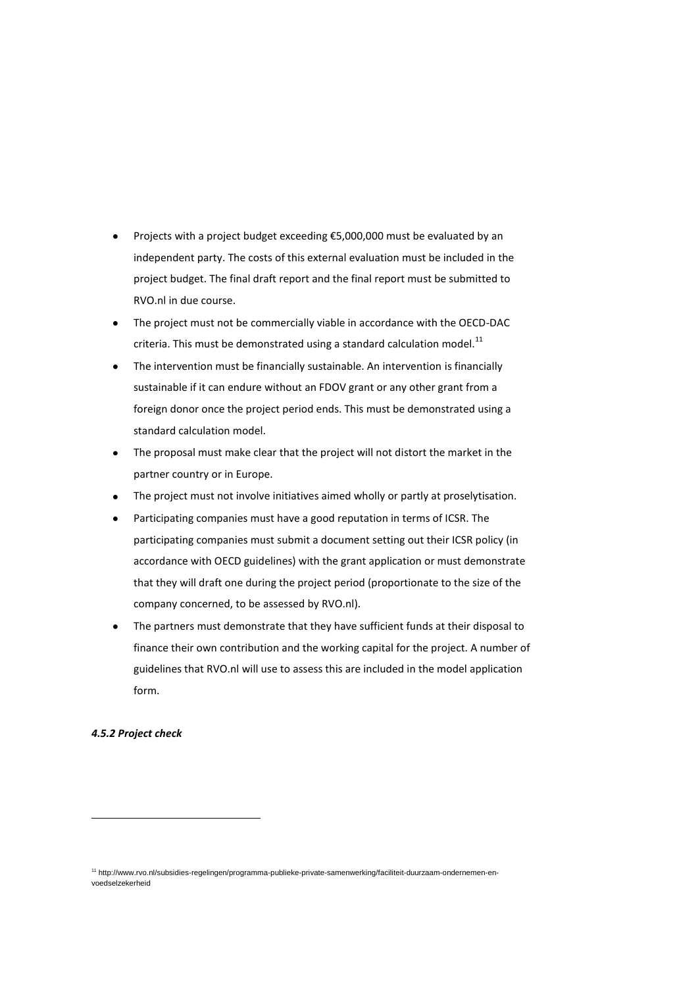- Projects with a project budget exceeding €5,000,000 must be evaluated by an independent party. The costs of this external evaluation must be included in the project budget. The final draft report and the final report must be submitted to RVO.nl in due course.
- The project must not be commercially viable in accordance with the OECD-DAC criteria. This must be demonstrated using a standard calculation model.<sup>11</sup>
- The intervention must be financially sustainable. An intervention is financially sustainable if it can endure without an FDOV grant or any other grant from a foreign donor once the project period ends. This must be demonstrated using a standard calculation model.
- The proposal must make clear that the project will not distort the market in the partner country or in Europe.
- The project must not involve initiatives aimed wholly or partly at proselytisation.
- Participating companies must have a good reputation in terms of ICSR. The participating companies must submit a document setting out their ICSR policy (in accordance with OECD guidelines) with the grant application or must demonstrate that they will draft one during the project period (proportionate to the size of the company concerned, to be assessed by RVO.nl).
- The partners must demonstrate that they have sufficient funds at their disposal to finance their own contribution and the working capital for the project. A number of guidelines that RVO.nl will use to assess this are included in the model application form.

#### *4.5.2 Project check*

1

<sup>11</sup> http://www.rvo.nl/subsidies-regelingen/programma-publieke-private-samenwerking/faciliteit-duurzaam-ondernemen-envoedselzekerheid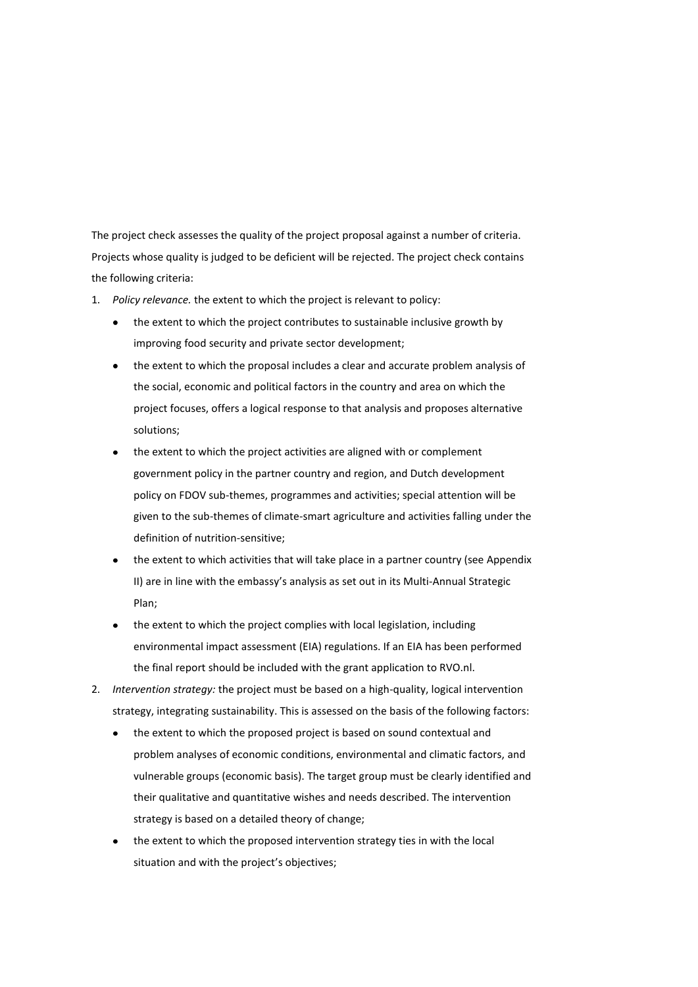The project check assesses the quality of the project proposal against a number of criteria. Projects whose quality is judged to be deficient will be rejected. The project check contains the following criteria:

- 1. *Policy relevance.* the extent to which the project is relevant to policy:
	- the extent to which the project contributes to sustainable inclusive growth by improving food security and private sector development;
	- the extent to which the proposal includes a clear and accurate problem analysis of the social, economic and political factors in the country and area on which the project focuses, offers a logical response to that analysis and proposes alternative solutions;
	- the extent to which the project activities are aligned with or complement government policy in the partner country and region, and Dutch development policy on FDOV sub-themes, programmes and activities; special attention will be given to the sub-themes of climate-smart agriculture and activities falling under the definition of nutrition-sensitive;
	- the extent to which activities that will take place in a partner country (see Appendix II) are in line with the embassy's analysis as set out in its Multi-Annual Strategic Plan;
	- the extent to which the project complies with local legislation, including environmental impact assessment (EIA) regulations. If an EIA has been performed the final report should be included with the grant application to RVO.nl.
- 2. *Intervention strategy:* the project must be based on a high-quality, logical intervention strategy, integrating sustainability. This is assessed on the basis of the following factors:
	- the extent to which the proposed project is based on sound contextual and problem analyses of economic conditions, environmental and climatic factors, and vulnerable groups (economic basis). The target group must be clearly identified and their qualitative and quantitative wishes and needs described. The intervention strategy is based on a detailed theory of change;
	- the extent to which the proposed intervention strategy ties in with the local situation and with the project's objectives;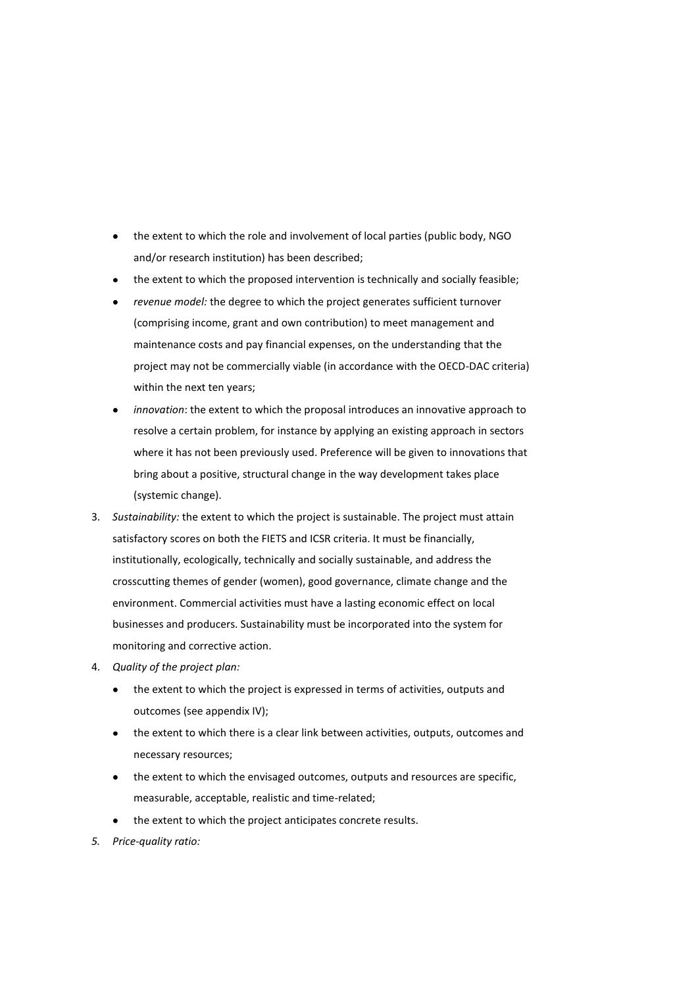- the extent to which the role and involvement of local parties (public body, NGO and/or research institution) has been described;
- the extent to which the proposed intervention is technically and socially feasible;
- *revenue model:* the degree to which the project generates sufficient turnover (comprising income, grant and own contribution) to meet management and maintenance costs and pay financial expenses, on the understanding that the project may not be commercially viable (in accordance with the OECD-DAC criteria) within the next ten years;
- *innovation*: the extent to which the proposal introduces an innovative approach to resolve a certain problem, for instance by applying an existing approach in sectors where it has not been previously used. Preference will be given to innovations that bring about a positive, structural change in the way development takes place (systemic change).
- 3. *Sustainability:* the extent to which the project is sustainable. The project must attain satisfactory scores on both the FIETS and ICSR criteria. It must be financially, institutionally, ecologically, technically and socially sustainable, and address the crosscutting themes of gender (women), good governance, climate change and the environment. Commercial activities must have a lasting economic effect on local businesses and producers. Sustainability must be incorporated into the system for monitoring and corrective action.
- 4. *Quality of the project plan:* 
	- the extent to which the project is expressed in terms of activities, outputs and outcomes (see appendix IV);
	- the extent to which there is a clear link between activities, outputs, outcomes and necessary resources;
	- the extent to which the envisaged outcomes, outputs and resources are specific, measurable, acceptable, realistic and time-related;
	- the extent to which the project anticipates concrete results.
- *5. Price-quality ratio:*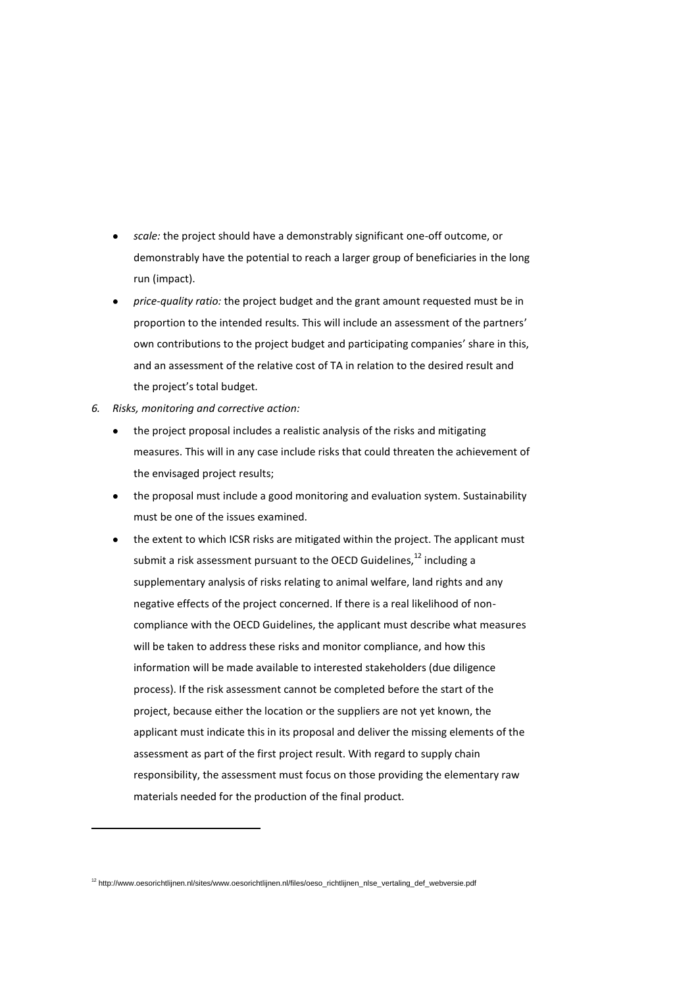- *scale:* the project should have a demonstrably significant one-off outcome, or demonstrably have the potential to reach a larger group of beneficiaries in the long run (impact).
- *price-quality ratio:* the project budget and the grant amount requested must be in proportion to the intended results. This will include an assessment of the partners' own contributions to the project budget and participating companies' share in this, and an assessment of the relative cost of TA in relation to the desired result and the project's total budget.
- *6. Risks, monitoring and corrective action:*

**.** 

- the project proposal includes a realistic analysis of the risks and mitigating measures. This will in any case include risks that could threaten the achievement of the envisaged project results;
- the proposal must include a good monitoring and evaluation system. Sustainability must be one of the issues examined.
- the extent to which ICSR risks are mitigated within the project. The applicant must submit a risk assessment pursuant to the OECD Guidelines, $^{12}$  including a supplementary analysis of risks relating to animal welfare, land rights and any negative effects of the project concerned. If there is a real likelihood of noncompliance with the OECD Guidelines, the applicant must describe what measures will be taken to address these risks and monitor compliance, and how this information will be made available to interested stakeholders (due diligence process). If the risk assessment cannot be completed before the start of the project, because either the location or the suppliers are not yet known, the applicant must indicate this in its proposal and deliver the missing elements of the assessment as part of the first project result. With regard to supply chain responsibility, the assessment must focus on those providing the elementary raw materials needed for the production of the final product.

<sup>12</sup> http://www.oesorichtlijnen.nl/sites/www.oesorichtlijnen.nl/files/oeso\_richtlijnen\_nlse\_vertaling\_def\_webversie.pdf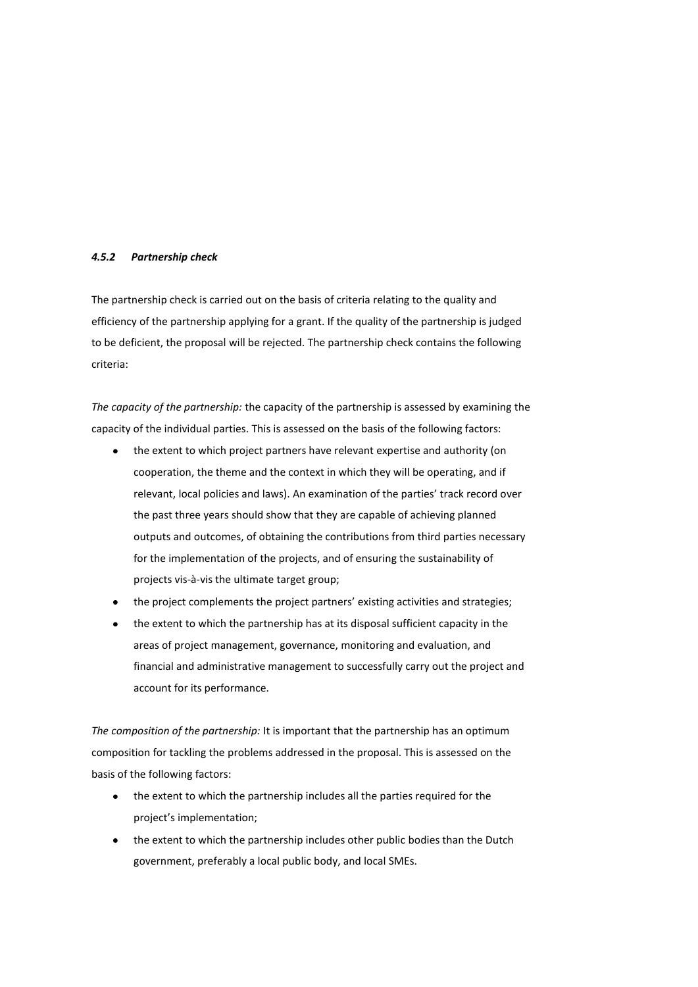#### *4.5.2 Partnership check*

The partnership check is carried out on the basis of criteria relating to the quality and efficiency of the partnership applying for a grant. If the quality of the partnership is judged to be deficient, the proposal will be rejected. The partnership check contains the following criteria:

*The capacity of the partnership:* the capacity of the partnership is assessed by examining the capacity of the individual parties. This is assessed on the basis of the following factors:

- $\bullet$ the extent to which project partners have relevant expertise and authority (on cooperation, the theme and the context in which they will be operating, and if relevant, local policies and laws). An examination of the parties' track record over the past three years should show that they are capable of achieving planned outputs and outcomes, of obtaining the contributions from third parties necessary for the implementation of the projects, and of ensuring the sustainability of projects vis-à-vis the ultimate target group;
- the project complements the project partners' existing activities and strategies;
- the extent to which the partnership has at its disposal sufficient capacity in the areas of project management, governance, monitoring and evaluation, and financial and administrative management to successfully carry out the project and account for its performance.

*The composition of the partnership:* It is important that the partnership has an optimum composition for tackling the problems addressed in the proposal. This is assessed on the basis of the following factors:

- the extent to which the partnership includes all the parties required for the project's implementation;
- the extent to which the partnership includes other public bodies than the Dutch government, preferably a local public body, and local SMEs.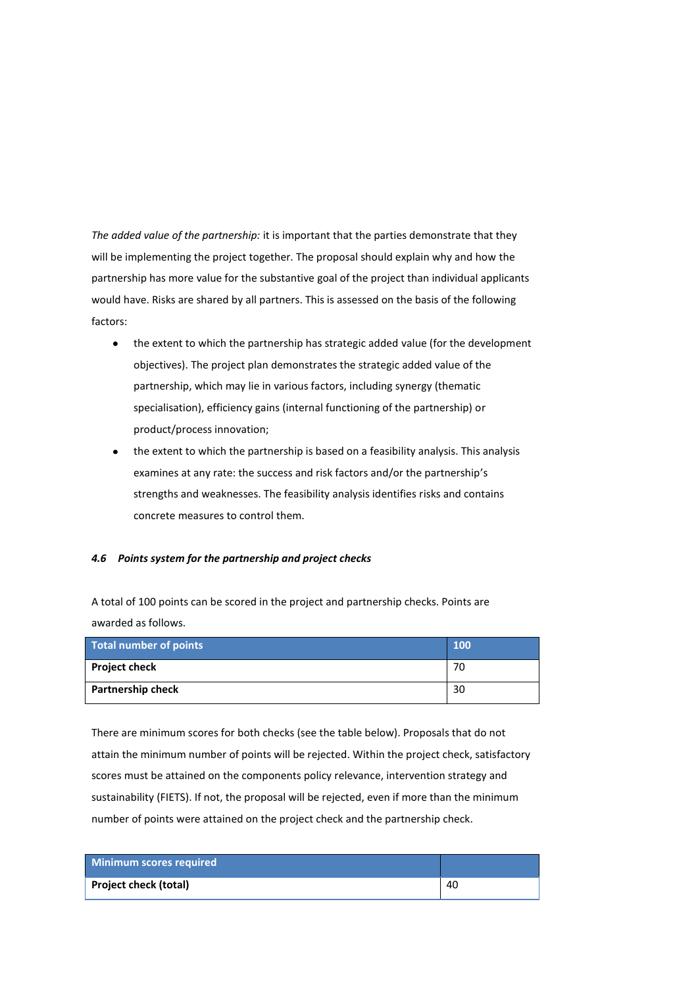*The added value of the partnership:* it is important that the parties demonstrate that they will be implementing the project together. The proposal should explain why and how the partnership has more value for the substantive goal of the project than individual applicants would have. Risks are shared by all partners. This is assessed on the basis of the following factors:

- the extent to which the partnership has strategic added value (for the development objectives). The project plan demonstrates the strategic added value of the partnership, which may lie in various factors, including synergy (thematic specialisation), efficiency gains (internal functioning of the partnership) or product/process innovation;
- the extent to which the partnership is based on a feasibility analysis. This analysis examines at any rate: the success and risk factors and/or the partnership's strengths and weaknesses. The feasibility analysis identifies risks and contains concrete measures to control them.

# *4.6 Points system for the partnership and project checks*

A total of 100 points can be scored in the project and partnership checks. Points are awarded as follows.

| Total number of points | <b>100</b> |
|------------------------|------------|
| <b>Project check</b>   | 70         |
| Partnership check      | 30         |

There are minimum scores for both checks (see the table below). Proposals that do not attain the minimum number of points will be rejected. Within the project check, satisfactory scores must be attained on the components policy relevance, intervention strategy and sustainability (FIETS). If not, the proposal will be rejected, even if more than the minimum number of points were attained on the project check and the partnership check.

| Minimum scores required |    |
|-------------------------|----|
| Project check (total)   | 40 |